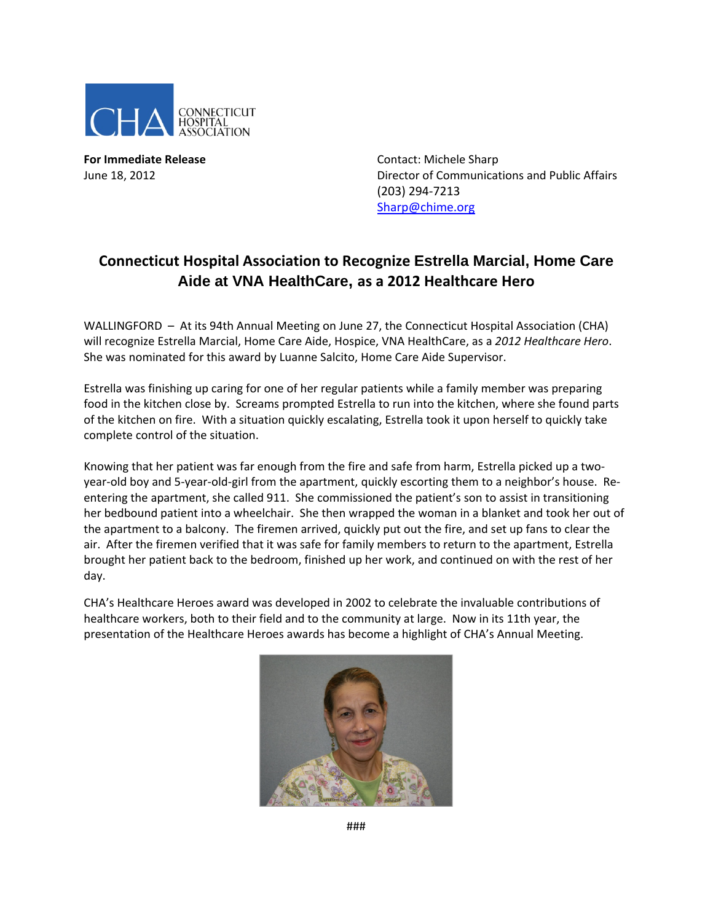

**For Immediate Release**  Contact: Michele Sharp

June 18, 2012 Director of Communications and Public Affairs (203) 294‐7213 Sharp@chime.org

## **Connecticut Hospital Association to Recognize Estrella Marcial, Home Care Aide at VNA HealthCare, as a 2012 Healthcare Hero**

WALLINGFORD - At its 94th Annual Meeting on June 27, the Connecticut Hospital Association (CHA) will recognize Estrella Marcial, Home Care Aide, Hospice, VNA HealthCare, as a *2012 Healthcare Hero*. She was nominated for this award by Luanne Salcito, Home Care Aide Supervisor.

Estrella was finishing up caring for one of her regular patients while a family member was preparing food in the kitchen close by. Screams prompted Estrella to run into the kitchen, where she found parts of the kitchen on fire. With a situation quickly escalating, Estrella took it upon herself to quickly take complete control of the situation.

Knowing that her patient was far enough from the fire and safe from harm, Estrella picked up a twoyear-old boy and 5-year-old-girl from the apartment, quickly escorting them to a neighbor's house. Reentering the apartment, she called 911. She commissioned the patient's son to assist in transitioning her bedbound patient into a wheelchair. She then wrapped the woman in a blanket and took her out of the apartment to a balcony. The firemen arrived, quickly put out the fire, and set up fans to clear the air. After the firemen verified that it was safe for family members to return to the apartment, Estrella brought her patient back to the bedroom, finished up her work, and continued on with the rest of her day.

CHA's Healthcare Heroes award was developed in 2002 to celebrate the invaluable contributions of healthcare workers, both to their field and to the community at large. Now in its 11th year, the presentation of the Healthcare Heroes awards has become a highlight of CHA's Annual Meeting.



###